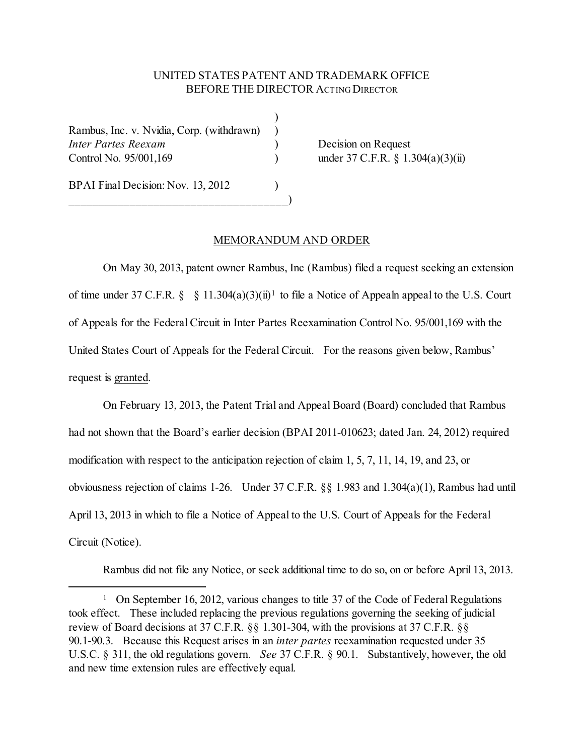## UNITED STATES PATENT AND TRADEMARK OFFICE BEFORE THE DIRECTOR ACTING DIRECTOR

)

Rambus, Inc. v. Nvidia, Corp. (withdrawn) ) *Inter Partes Reexam* ) Decision on Request Control No. 95/001,169 ) under 37 C.F.R. § 1.304(a)(3)(ii)

\_\_\_\_\_\_\_\_\_\_\_\_\_\_\_\_\_\_\_\_\_\_\_\_\_\_\_\_\_\_\_\_\_\_\_\_)

BPAI Final Decision: Nov. 13, 2012

## MEMORANDUM AND ORDER

On May 30, 2013, patent owner Rambus, Inc (Rambus) filed a request seeking an extension of time under 37 C.F.R. § § [1](#page-0-0)1.304(a)(3)(ii)<sup>1</sup> to file a Notice of Appealn appeal to the U.S. Court of Appeals for the Federal Circuit in Inter Partes Reexamination Control No. 95/001,169 with the United States Court of Appeals for the Federal Circuit. For the reasons given below, Rambus' request is granted.

On February 13, 2013, the Patent Trial and Appeal Board (Board) concluded that Rambus had not shown that the Board's earlier decision (BPAI 2011-010623; dated Jan. 24, 2012) required modification with respect to the anticipation rejection of claim 1, 5, 7, 11, 14, 19, and 23, or obviousness rejection of claims 1-26. Under 37 C.F.R. §§ 1.983 and 1.304(a)(1), Rambus had until April 13, 2013 in which to file a Notice of Appeal to the U.S. Court of Appeals for the Federal Circuit (Notice).

Rambus did not file any Notice, or seek additional time to do so, on or before April 13, 2013.

<span id="page-0-0"></span><sup>&</sup>lt;sup>1</sup> On September 16, 2012, various changes to title 37 of the Code of Federal Regulations took effect. These included replacing the previous regulations governing the seeking of judicial review of Board decisions at 37 C.F.R. §§ 1.301-304, with the provisions at 37 C.F.R. §§ 90.1-90.3. Because this Request arises in an *inter partes* reexamination requested under 35 U.S.C. § 311, the old regulations govern. *See* 37 C.F.R. § 90.1. Substantively, however, the old and new time extension rules are effectively equal.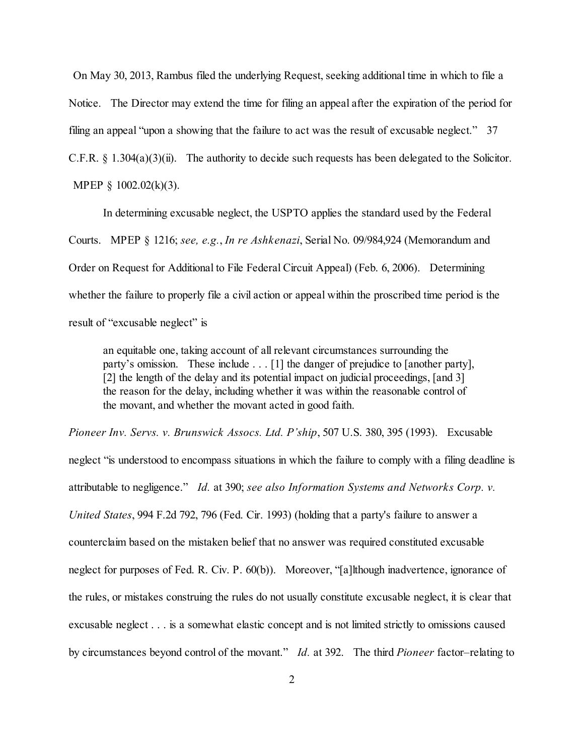On May 30, 2013, Rambus filed the underlying Request, seeking additional time in which to file a Notice. The Director may extend the time for filing an appeal after the expiration of the period for filing an appeal "upon a showing that the failure to act was the result of excusable neglect." 37 C.F.R. § 1.304(a)(3)(ii). The authority to decide such requests has been delegated to the Solicitor. MPEP § 1002.02(k)(3).

In determining excusable neglect, the USPTO applies the standard used by the Federal Courts. MPEP § 1216; *see, e.g.*, *In re Ashkenazi*, Serial No. 09/984,924 (Memorandum and Order on Request for Additional to File Federal Circuit Appeal) (Feb. 6, 2006). Determining whether the failure to properly file a civil action or appeal within the proscribed time period is the result of "excusable neglect" is

an equitable one, taking account of all relevant circumstances surrounding the party's omission. These include . . . [1] the danger of prejudice to [another party], [2] the length of the delay and its potential impact on judicial proceedings, [and 3] the reason for the delay, including whether it was within the reasonable control of the movant, and whether the movant acted in good faith.

*Pioneer Inv. Servs. v. Brunswick Assocs. Ltd. P'ship*, 507 U.S. 380, 395 (1993). Excusable

neglect "is understood to encompass situations in which the failure to comply with a filing deadline is attributable to negligence." *Id.* at 390; *see also Information Systems and Networks Corp. v. United States*, 994 F.2d 792, 796 (Fed. Cir. 1993) (holding that a party's failure to answer a counterclaim based on the mistaken belief that no answer was required constituted excusable neglect for purposes of Fed. R. Civ. P. 60(b)). Moreover, "[a]lthough inadvertence, ignorance of the rules, or mistakes construing the rules do not usually constitute excusable neglect, it is clear that excusable neglect . . . is a somewhat elastic concept and is not limited strictly to omissions caused by circumstances beyond control of the movant." *Id.* at 392. The third *Pioneer* factor–relating to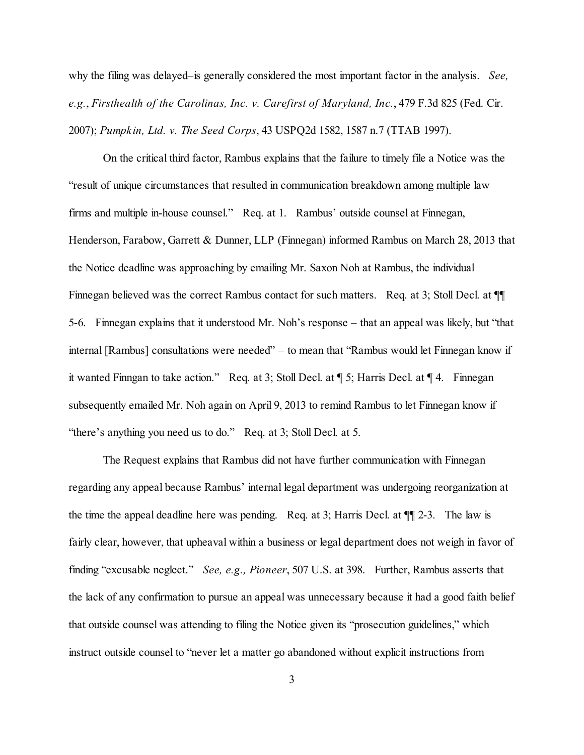why the filing was delayed–is generally considered the most important factor in the analysis. *See, e.g.*, *Firsthealth of the Carolinas, Inc. v. Carefirst of Maryland, Inc.*, 479 F.3d 825 (Fed. Cir. 2007); *Pumpkin, Ltd. v. The Seed Corps*, 43 USPQ2d 1582, 1587 n.7 (TTAB 1997).

On the critical third factor, Rambus explains that the failure to timely file a Notice was the "result of unique circumstances that resulted in communication breakdown among multiple law firms and multiple in-house counsel." Req. at 1. Rambus' outside counsel at Finnegan, Henderson, Farabow, Garrett & Dunner, LLP (Finnegan) informed Rambus on March 28, 2013 that the Notice deadline was approaching by emailing Mr. Saxon Noh at Rambus, the individual Finnegan believed was the correct Rambus contact for such matters. Req. at 3; Stoll Decl. at  $\P$ 5-6. Finnegan explains that it understood Mr. Noh's response – that an appeal was likely, but "that internal [Rambus] consultations were needed" – to mean that "Rambus would let Finnegan know if it wanted Finngan to take action." Req. at 3; Stoll Decl. at ¶ 5; Harris Decl. at ¶ 4. Finnegan subsequently emailed Mr. Noh again on April 9, 2013 to remind Rambus to let Finnegan know if "there's anything you need us to do." Req. at 3; Stoll Decl. at 5.

The Request explains that Rambus did not have further communication with Finnegan regarding any appeal because Rambus' internal legal department was undergoing reorganization at the time the appeal deadline here was pending. Req. at 3; Harris Decl. at ¶¶ 2-3. The law is fairly clear, however, that upheaval within a business or legal department does not weigh in favor of finding "excusable neglect." *See, e.g., Pioneer*, 507 U.S. at 398. Further, Rambus asserts that the lack of any confirmation to pursue an appeal was unnecessary because it had a good faith belief that outside counsel was attending to filing the Notice given its "prosecution guidelines," which instruct outside counsel to "never let a matter go abandoned without explicit instructions from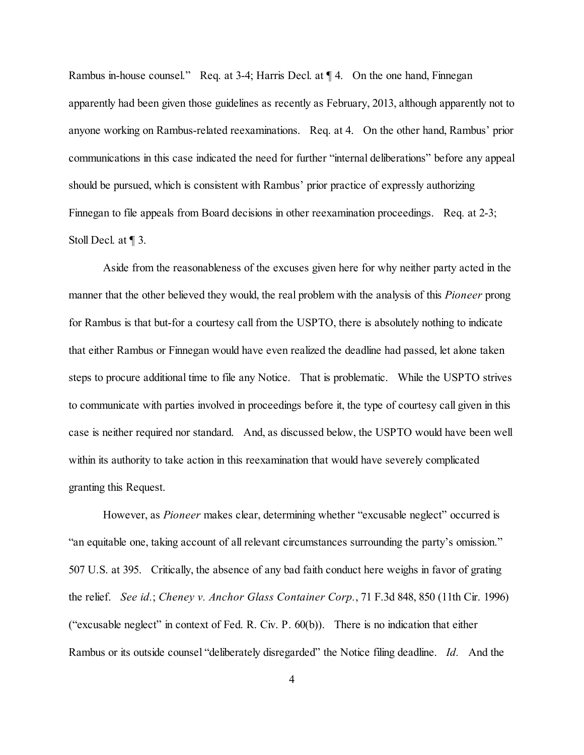Rambus in-house counsel." Req. at 3-4; Harris Decl. at  $\P$  4. On the one hand, Finnegan apparently had been given those guidelines as recently as February, 2013, although apparently not to anyone working on Rambus-related reexaminations. Req. at 4. On the other hand, Rambus' prior communications in this case indicated the need for further "internal deliberations" before any appeal should be pursued, which is consistent with Rambus' prior practice of expressly authorizing Finnegan to file appeals from Board decisions in other reexamination proceedings. Req. at 2-3; Stoll Decl. at ¶ 3.

Aside from the reasonableness of the excuses given here for why neither party acted in the manner that the other believed they would, the real problem with the analysis of this *Pioneer* prong for Rambus is that but-for a courtesy call from the USPTO, there is absolutely nothing to indicate that either Rambus or Finnegan would have even realized the deadline had passed, let alone taken steps to procure additional time to file any Notice. That is problematic. While the USPTO strives to communicate with parties involved in proceedings before it, the type of courtesy call given in this case is neither required nor standard. And, as discussed below, the USPTO would have been well within its authority to take action in this reexamination that would have severely complicated granting this Request.

However, as *Pioneer* makes clear, determining whether "excusable neglect" occurred is "an equitable one, taking account of all relevant circumstances surrounding the party's omission." 507 U.S. at 395. Critically, the absence of any bad faith conduct here weighs in favor of grating the relief. *See id.*; *Cheney v. Anchor Glass Container Corp.*, 71 F.3d 848, 850 (11th Cir. 1996) ("excusable neglect" in context of Fed. R. Civ. P. 60(b)). There is no indication that either Rambus or its outside counsel "deliberately disregarded" the Notice filing deadline. *Id.* And the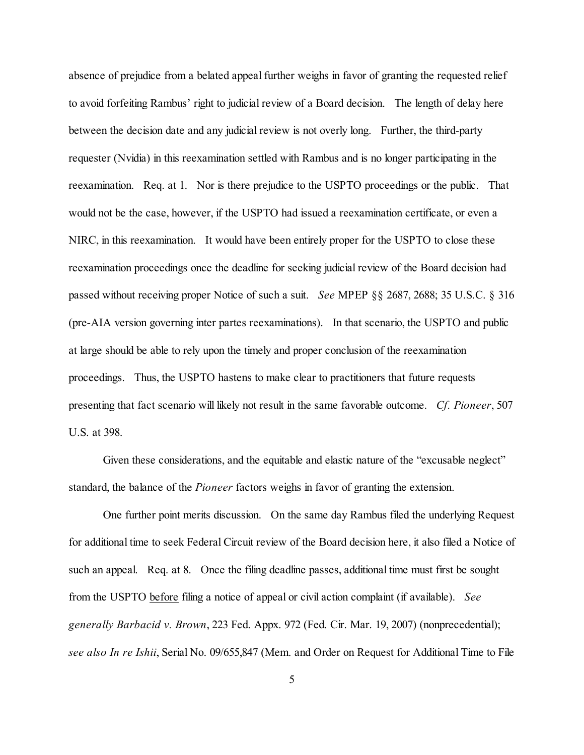absence of prejudice from a belated appeal further weighs in favor of granting the requested relief to avoid forfeiting Rambus' right to judicial review of a Board decision. The length of delay here between the decision date and any judicial review is not overly long. Further, the third-party requester (Nvidia) in this reexamination settled with Rambus and is no longer participating in the reexamination. Req. at 1. Nor is there prejudice to the USPTO proceedings or the public. That would not be the case, however, if the USPTO had issued a reexamination certificate, or even a NIRC, in this reexamination. It would have been entirely proper for the USPTO to close these reexamination proceedings once the deadline for seeking judicial review of the Board decision had passed without receiving proper Notice of such a suit. *See* MPEP §§ 2687, 2688; 35 U.S.C. § 316 (pre-AIA version governing inter partes reexaminations). In that scenario, the USPTO and public at large should be able to rely upon the timely and proper conclusion of the reexamination proceedings. Thus, the USPTO hastens to make clear to practitioners that future requests presenting that fact scenario will likely not result in the same favorable outcome. *Cf. Pioneer*, 507 U.S. at 398.

Given these considerations, and the equitable and elastic nature of the "excusable neglect" standard, the balance of the *Pioneer* factors weighs in favor of granting the extension.

One further point merits discussion. On the same day Rambus filed the underlying Request for additional time to seek Federal Circuit review of the Board decision here, it also filed a Notice of such an appeal. Req. at 8. Once the filing deadline passes, additional time must first be sought from the USPTO before filing a notice of appeal or civil action complaint (if available). *See generally Barbacid v. Brown*, 223 Fed. Appx. 972 (Fed. Cir. Mar. 19, 2007) (nonprecedential); *see also In re Ishii*, Serial No. 09/655,847 (Mem. and Order on Request for Additional Time to File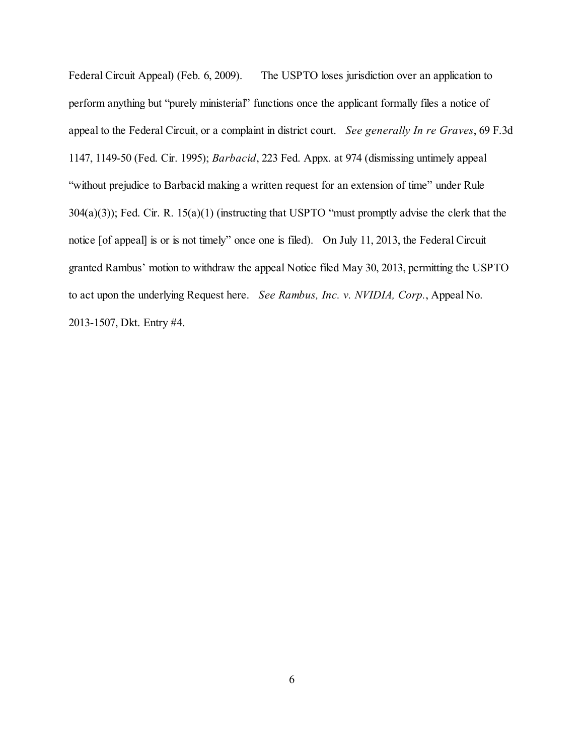Federal Circuit Appeal) (Feb. 6, 2009). The USPTO loses jurisdiction over an application to perform anything but "purely ministerial" functions once the applicant formally files a notice of appeal to the Federal Circuit, or a complaint in district court. *See generally In re Graves*, 69 F.3d 1147, 1149-50 (Fed. Cir. 1995); *Barbacid*, 223 Fed. Appx. at 974 (dismissing untimely appeal "without prejudice to Barbacid making a written request for an extension of time" under Rule 304(a)(3)); Fed. Cir. R. 15(a)(1) (instructing that USPTO "must promptly advise the clerk that the notice [of appeal] is or is not timely" once one is filed). On July 11, 2013, the Federal Circuit granted Rambus' motion to withdraw the appeal Notice filed May 30, 2013, permitting the USPTO to act upon the underlying Request here. *See Rambus, Inc. v. NVIDIA, Corp.*, Appeal No. 2013-1507, Dkt. Entry #4.